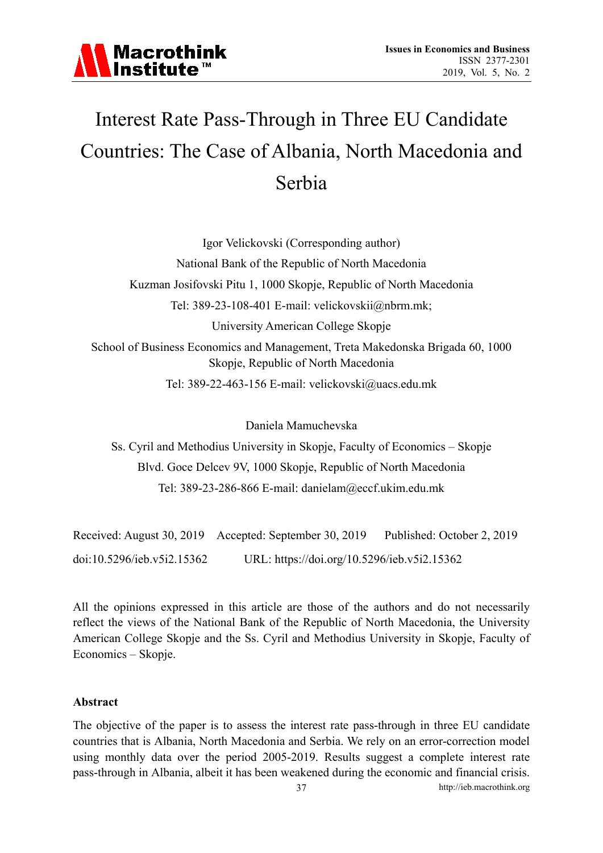

### Interest Rate Pass-Through in Three EU Candidate Countries: The Case of Albania, North Macedonia and Serbia

Igor Velickovski (Corresponding author)

National Bank of the Republic of North Macedonia

Kuzman Josifovski Pitu 1, 1000 Skopje, Republic of North Macedonia

Tel: 389-23-108-401 E-mail: velickovskii@nbrm.mk;

University American College Skopje

School of Business Economics and Management, Treta Makedonska Brigada 60, 1000 Skopje, Republic of North Macedonia

Tel: 389-22-463-156 E-mail: velickovski@uacs.edu.mk

Daniela Mamuchevska

Ss. Cyril and Methodius University in Skopje, Faculty of Economics – Skopje Blvd. Goce Delcev 9V, 1000 Skopje, Republic of North Macedonia Tel: 389-23-286-866 E-mail: danielam@eccf.ukim.edu.mk

|                            | Received: August 30, 2019 Accepted: September 30, 2019 | Published: October 2, 2019 |
|----------------------------|--------------------------------------------------------|----------------------------|
| doi:10.5296/ieb.v5i2.15362 | URL: https://doi.org/10.5296/ieb.v5i2.15362            |                            |

All the opinions expressed in this article are those of the authors and do not necessarily reflect the views of the National Bank of the Republic of North Macedonia, the University American College Skopje and the Ss. Cyril and Methodius University in Skopje, Faculty of Economics – Skopje.

#### **Abstract**

The objective of the paper is to assess the interest rate pass-through in three EU candidate countries that is Albania, North Macedonia and Serbia. We rely on an error-correction model using monthly data over the period 2005-2019. Results suggest a complete interest rate pass-through in Albania, albeit it has been weakened during the economic and financial crisis.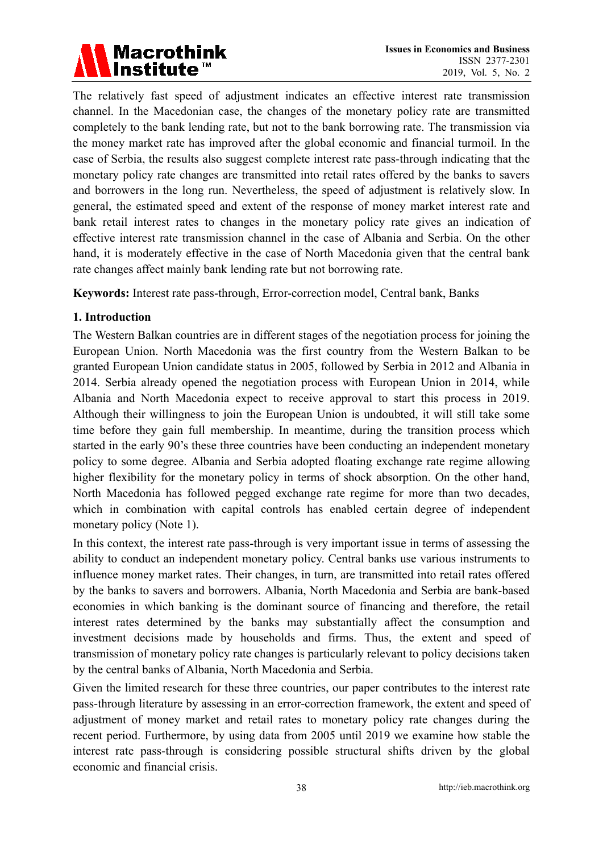# Macrothink<br>Institute™

The relatively fast speed of adjustment indicates an effective interest rate transmission channel. In the Macedonian case, the changes of the monetary policy rate are transmitted completely to the bank lending rate, but not to the bank borrowing rate. The transmission via the money market rate has improved after the global economic and financial turmoil. In the case of Serbia, the results also suggest complete interest rate pass-through indicating that the monetary policy rate changes are transmitted into retail rates offered by the banks to savers and borrowers in the long run. Nevertheless, the speed of adjustment is relatively slow. In general, the estimated speed and extent of the response of money market interest rate and bank retail interest rates to changes in the monetary policy rate gives an indication of effective interest rate transmission channel in the case of Albania and Serbia. On the other hand, it is moderately effective in the case of North Macedonia given that the central bank rate changes affect mainly bank lending rate but not borrowing rate.

**Keywords:** Interest rate pass-through, Error-correction model, Central bank, Banks

### **1. Introduction**

The Western Balkan countries are in different stages of the negotiation process for joining the European Union. North Macedonia was the first country from the Western Balkan to be granted European Union candidate status in 2005, followed by Serbia in 2012 and Albania in 2014. Serbia already opened the negotiation process with European Union in 2014, while Albania and North Macedonia expect to receive approval to start this process in 2019. Although their willingness to join the European Union is undoubted, it will still take some time before they gain full membership. In meantime, during the transition process which started in the early 90's these three countries have been conducting an independent monetary policy to some degree. Albania and Serbia adopted floating exchange rate regime allowing higher flexibility for the monetary policy in terms of shock absorption. On the other hand, North Macedonia has followed pegged exchange rate regime for more than two decades, which in combination with capital controls has enabled certain degree of independent monetary policy (Note 1).

In this context, the interest rate pass-through is very important issue in terms of assessing the ability to conduct an independent monetary policy. Central banks use various instruments to influence money market rates. Their changes, in turn, are transmitted into retail rates offered by the banks to savers and borrowers. Albania, North Macedonia and Serbia are bank-based economies in which banking is the dominant source of financing and therefore, the retail interest rates determined by the banks may substantially affect the consumption and investment decisions made by households and firms. Thus, the extent and speed of transmission of monetary policy rate changes is particularly relevant to policy decisions taken by the central banks of Albania, North Macedonia and Serbia.

Given the limited research for these three countries, our paper contributes to the interest rate pass-through literature by assessing in an error-correction framework, the extent and speed of adjustment of money market and retail rates to monetary policy rate changes during the recent period. Furthermore, by using data from 2005 until 2019 we examine how stable the interest rate pass-through is considering possible structural shifts driven by the global economic and financial crisis.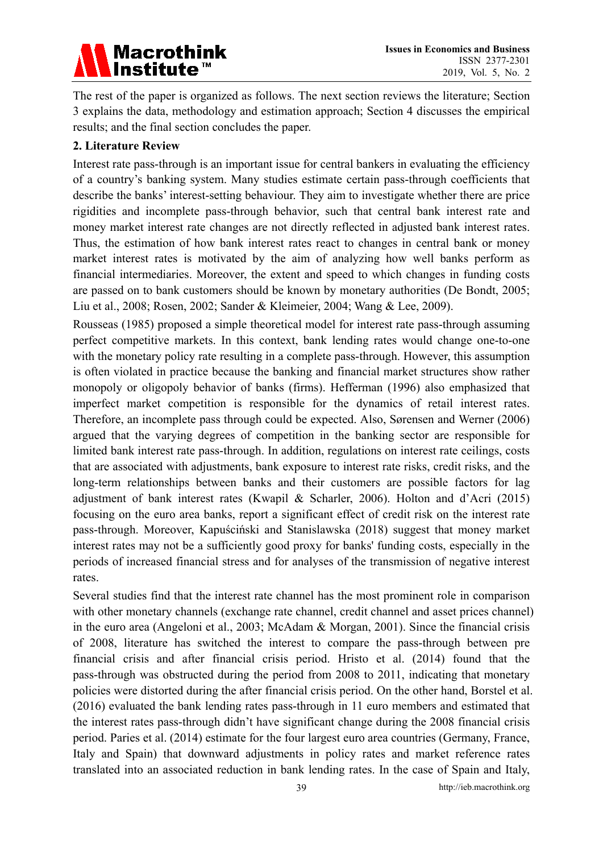# Macrothink<br>|Institute™

The rest of the paper is organized as follows. The next section reviews the literature; Section 3 explains the data, methodology and estimation approach; Section 4 discusses the empirical results; and the final section concludes the paper.

### **2. Literature Review**

Interest rate pass-through is an important issue for central bankers in evaluating the efficiency of a country's banking system. Many studies estimate certain pass-through coefficients that describe the banks' interest-setting behaviour. They aim to investigate whether there are price rigidities and incomplete pass-through behavior, such that central bank interest rate and money market interest rate changes are not directly reflected in adjusted bank interest rates. Thus, the estimation of how bank interest rates react to changes in central bank or money market interest rates is motivated by the aim of analyzing how well banks perform as financial intermediaries. Moreover, the extent and speed to which changes in funding costs are passed on to bank customers should be known by monetary authorities (De Bondt, 2005; Liu et al., 2008; Rosen, 2002; Sander & Kleimeier, 2004; Wang & Lee, 2009).

Rousseas (1985) proposed a simple theoretical model for interest rate pass-through assuming perfect competitive markets. In this context, bank lending rates would change one-to-one with the monetary policy rate resulting in a complete pass-through. However, this assumption is often violated in practice because the banking and financial market structures show rather monopoly or oligopoly behavior of banks (firms). Hefferman (1996) also emphasized that imperfect market competition is responsible for the dynamics of retail interest rates. Therefore, an incomplete pass through could be expected. Also, Sørensen and Werner (2006) argued that the varying degrees of competition in the banking sector are responsible for limited bank interest rate pass-through. In addition, regulations on interest rate ceilings, costs that are associated with adjustments, bank exposure to interest rate risks, credit risks, and the long-term relationships between banks and their customers are possible factors for lag adjustment of bank interest rates (Kwapil & Scharler, 2006). Holton and d'Acri (2015) focusing on the euro area banks, report a significant effect of credit risk on the interest rate pass-through. Moreover, Kapuściński and Stanislawska (2018) suggest that money market interest rates may not be a sufficiently good proxy for banks' funding costs, especially in the periods of increased financial stress and for analyses of the transmission of negative interest rates.

Several studies find that the interest rate channel has the most prominent role in comparison with other monetary channels (exchange rate channel, credit channel and asset prices channel) in the euro area (Angeloni et al., 2003; McAdam & Morgan, 2001). Since the financial crisis of 2008, literature has switched the interest to compare the pass-through between pre financial crisis and after financial crisis period. Hristo et al. (2014) found that the pass-through was obstructed during the period from 2008 to 2011, indicating that monetary policies were distorted during the after financial crisis period. On the other hand, Borstel et al. (2016) evaluated the bank lending rates pass-through in 11 euro members and estimated that the interest rates pass-through didn't have significant change during the 2008 financial crisis period. Paries et al. (2014) estimate for the four largest euro area countries (Germany, France, Italy and Spain) that downward adjustments in policy rates and market reference rates translated into an associated reduction in bank lending rates. In the case of Spain and Italy,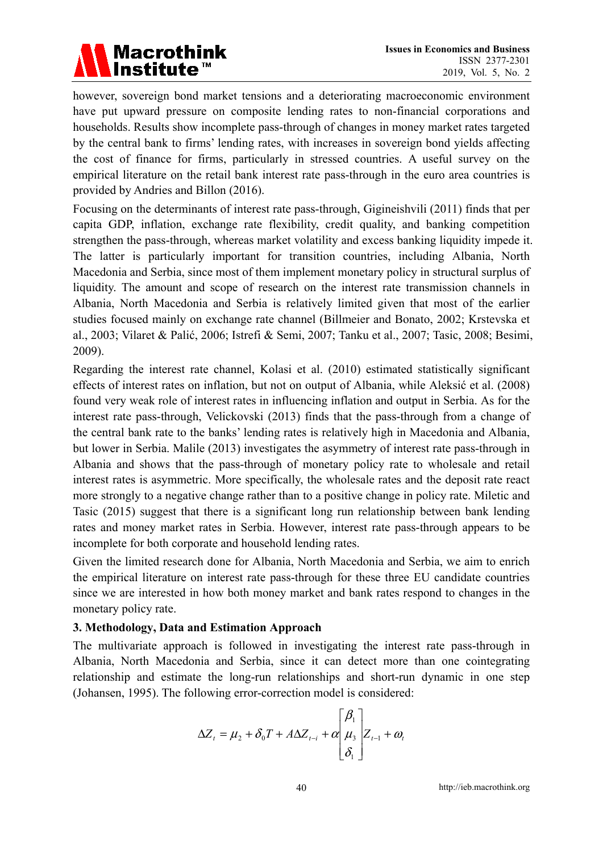### **Macrothink** <u>Institute</u>™

however, sovereign bond market tensions and a deteriorating macroeconomic environment have put upward pressure on composite lending rates to non-financial corporations and households. Results show incomplete pass-through of changes in money market rates targeted by the central bank to firms' lending rates, with increases in sovereign bond yields affecting the cost of finance for firms, particularly in stressed countries. A useful survey on the empirical literature on the retail bank interest rate pass-through in the euro area countries is provided by Andries and Billon (2016).

Focusing on the determinants of interest rate pass-through, Gigineishvili (2011) finds that per capita GDP, inflation, exchange rate flexibility, credit quality, and banking competition strengthen the pass-through, whereas market volatility and excess banking liquidity impede it. The latter is particularly important for transition countries, including Albania, North Macedonia and Serbia, since most of them implement monetary policy in structural surplus of liquidity. The amount and scope of research on the interest rate transmission channels in Albania, North Macedonia and Serbia is relatively limited given that most of the earlier studies focused mainly on exchange rate channel (Billmeier and Bonato, 2002; Krstevska et al., 2003; Vilaret & Palić, 2006; Istrefi & Semi, 2007; Tanku et al., 2007; Tasic, 2008; Besimi, 2009).

Regarding the interest rate channel, Kolasi et al. (2010) estimated statistically significant effects of interest rates on inflation, but not on output of Albania, while Aleksić et al. (2008) found very weak role of interest rates in influencing inflation and output in Serbia. As for the interest rate pass-through, Velickovski (2013) finds that the pass-through from a change of the central bank rate to the banks' lending rates is relatively high in Macedonia and Albania, but lower in Serbia. Malile (2013) investigates the asymmetry of interest rate pass-through in Albania and shows that the pass-through of monetary policy rate to wholesale and retail interest rates is asymmetric. More specifically, the wholesale rates and the deposit rate react more strongly to a negative change rather than to a positive change in policy rate. Miletic and Tasic (2015) suggest that there is a significant long run relationship between bank lending rates and money market rates in Serbia. However, interest rate pass-through appears to be incomplete for both corporate and household lending rates.

Given the limited research done for Albania, North Macedonia and Serbia, we aim to enrich the empirical literature on interest rate pass-through for these three EU candidate countries since we are interested in how both money market and bank rates respond to changes in the monetary policy rate.

### **3. Methodology, Data and Estimation Approach**

The multivariate approach is followed in investigating the interest rate pass-through in Albania, North Macedonia and Serbia, since it can detect more than one cointegrating relationship and estimate the long-run relationships and short-run dynamic in one step (Johansen, 1995). The following error-correction model is considered:

$$
\Delta Z_{t} = \mu_{2} + \delta_{0} T + A \Delta Z_{t-i} + \alpha \begin{bmatrix} \beta_{1} \\ \mu_{3} \\ \delta_{1} \end{bmatrix} Z_{t-1} + \omega_{t}
$$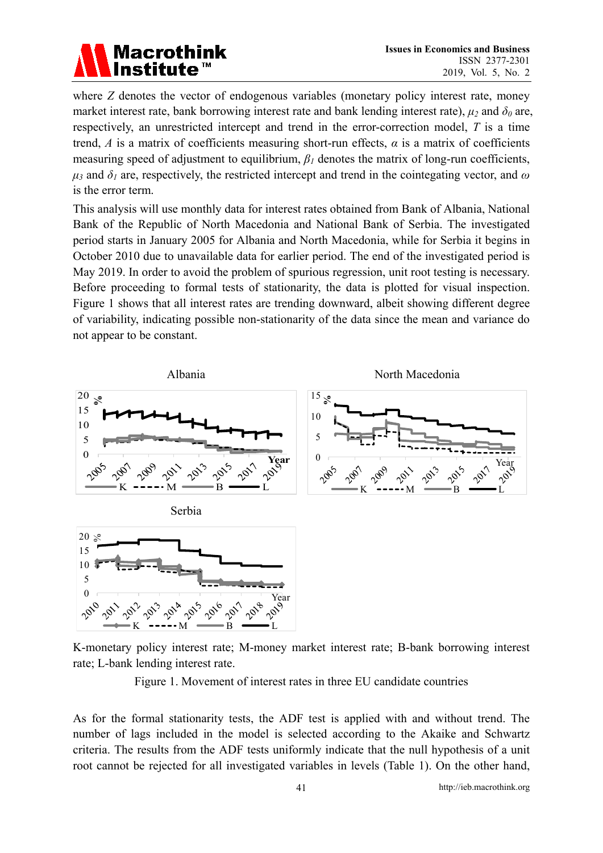### Macrotl

where *Z* denotes the vector of endogenous variables (monetary policy interest rate, money market interest rate, bank borrowing interest rate and bank lending interest rate),  $\mu_2$  and  $\delta_0$  are, respectively, an unrestricted intercept and trend in the error-correction model, *T* is a time trend, *A* is a matrix of coefficients measuring short-run effects,  $\alpha$  is a matrix of coefficients measuring speed of adjustment to equilibrium,  $\beta$ <sup>*l*</sup> denotes the matrix of long-run coefficients,  $\mu_3$  and  $\delta_1$  are, respectively, the restricted intercept and trend in the cointegating vector, and  $\omega$ is the error term.

This analysis will use monthly data for interest rates obtained from Bank of Albania, National Bank of the Republic of North Macedonia and National Bank of Serbia. The investigated period starts in January 2005 for Albania and North Macedonia, while for Serbia it begins in October 2010 due to unavailable data for earlier period. The end of the investigated period is May 2019. In order to avoid the problem of spurious regression, unit root testing is necessary. Before proceeding to formal tests of stationarity, the data is plotted for visual inspection. Figure 1 shows that all interest rates are trending downward, albeit showing different degree of variability, indicating possible non-stationarity of the data since the mean and variance do not appear to be constant.



K-monetary policy interest rate; M-money market interest rate; B-bank borrowing interest rate; L-bank lending interest rate.

Figure 1. Movement of interest rates in three EU candidate countries

As for the formal stationarity tests, the ADF test is applied with and without trend. The number of lags included in the model is selected according to the Akaike and Schwartz criteria. The results from the ADF tests uniformly indicate that the null hypothesis of a unit root cannot be rejected for all investigated variables in levels (Table 1). On the other hand,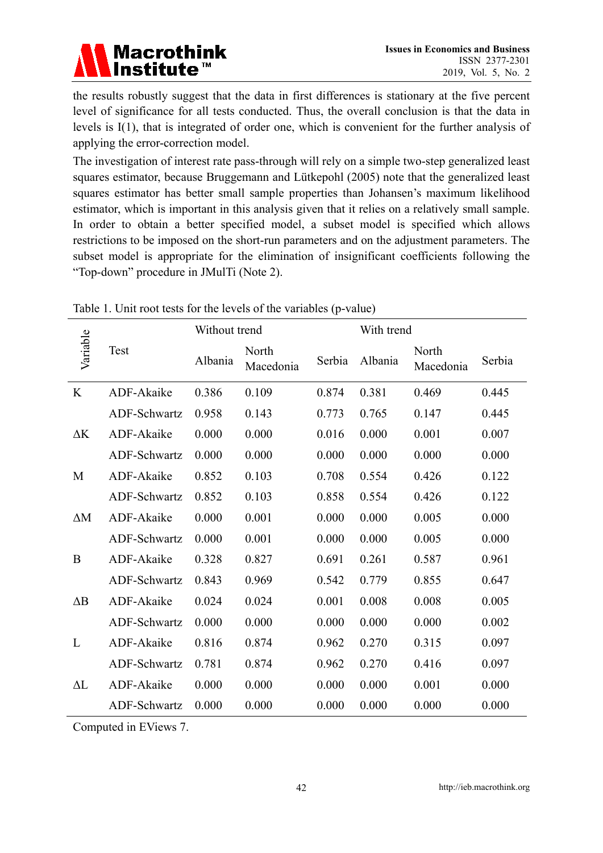

the results robustly suggest that the data in first differences is stationary at the five percent level of significance for all tests conducted. Thus, the overall conclusion is that the data in levels is I(1), that is integrated of order one, which is convenient for the further analysis of applying the error-correction model.

The investigation of interest rate pass-through will rely on a simple two-step generalized least squares estimator, because Bruggemann and Lütkepohl (2005) note that the generalized least squares estimator has better small sample properties than Johansen's maximum likelihood estimator, which is important in this analysis given that it relies on a relatively small sample. In order to obtain a better specified model, a subset model is specified which allows restrictions to be imposed on the short-run parameters and on the adjustment parameters. The subset model is appropriate for the elimination of insignificant coefficients following the "Top-down" procedure in JMulTi (Note 2).

|            |              | Without trend |                    |        | With trend |                    |        |
|------------|--------------|---------------|--------------------|--------|------------|--------------------|--------|
| Variable   | Test         | Albania       | North<br>Macedonia | Serbia | Albania    | North<br>Macedonia | Serbia |
| K          | ADF-Akaike   | 0.386         | 0.109              | 0.874  | 0.381      | 0.469              | 0.445  |
|            | ADF-Schwartz | 0.958         | 0.143              | 0.773  | 0.765      | 0.147              | 0.445  |
| $\Delta K$ | ADF-Akaike   | 0.000         | 0.000              | 0.016  | 0.000      | 0.001              | 0.007  |
|            | ADF-Schwartz | 0.000         | 0.000              | 0.000  | 0.000      | 0.000              | 0.000  |
| M          | ADF-Akaike   | 0.852         | 0.103              | 0.708  | 0.554      | 0.426              | 0.122  |
|            | ADF-Schwartz | 0.852         | 0.103              | 0.858  | 0.554      | 0.426              | 0.122  |
| $\Delta M$ | ADF-Akaike   | 0.000         | 0.001              | 0.000  | 0.000      | 0.005              | 0.000  |
|            | ADF-Schwartz | 0.000         | 0.001              | 0.000  | 0.000      | 0.005              | 0.000  |
| B          | ADF-Akaike   | 0.328         | 0.827              | 0.691  | 0.261      | 0.587              | 0.961  |
|            | ADF-Schwartz | 0.843         | 0.969              | 0.542  | 0.779      | 0.855              | 0.647  |
| $\Delta B$ | ADF-Akaike   | 0.024         | 0.024              | 0.001  | 0.008      | 0.008              | 0.005  |
|            | ADF-Schwartz | 0.000         | 0.000              | 0.000  | 0.000      | 0.000              | 0.002  |
| L          | ADF-Akaike   | 0.816         | 0.874              | 0.962  | 0.270      | 0.315              | 0.097  |
|            | ADF-Schwartz | 0.781         | 0.874              | 0.962  | 0.270      | 0.416              | 0.097  |
| $\Delta L$ | ADF-Akaike   | 0.000         | 0.000              | 0.000  | 0.000      | 0.001              | 0.000  |
|            | ADF-Schwartz | 0.000         | 0.000              | 0.000  | 0.000      | 0.000              | 0.000  |

Table 1. Unit root tests for the levels of the variables (p-value)

Computed in EViews 7.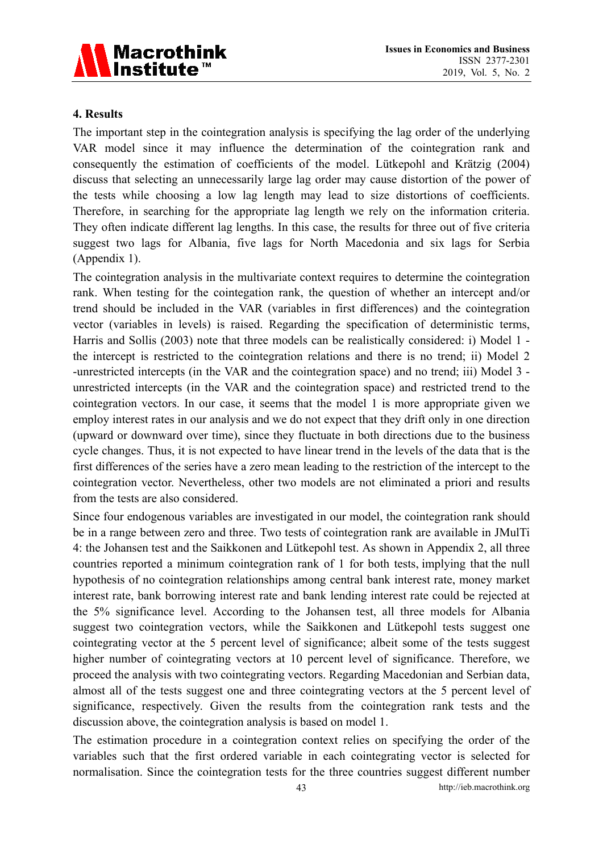

### **4. Results**

The important step in the cointegration analysis is specifying the lag order of the underlying VAR model since it may influence the determination of the cointegration rank and consequently the estimation of coefficients of the model. Lütkepohl and Krätzig (2004) discuss that selecting an unnecessarily large lag order may cause distortion of the power of the tests while choosing a low lag length may lead to size distortions of coefficients. Therefore, in searching for the appropriate lag length we rely on the information criteria. They often indicate different lag lengths. In this case, the results for three out of five criteria suggest two lags for Albania, five lags for North Macedonia and six lags for Serbia (Appendix 1).

The cointegration analysis in the multivariate context requires to determine the cointegration rank. When testing for the cointegation rank, the question of whether an intercept and/or trend should be included in the VAR (variables in first differences) and the cointegration vector (variables in levels) is raised. Regarding the specification of deterministic terms, Harris and Sollis (2003) note that three models can be realistically considered: i) Model 1 the intercept is restricted to the cointegration relations and there is no trend; ii) Model 2 -unrestricted intercepts (in the VAR and the cointegration space) and no trend; iii) Model 3 unrestricted intercepts (in the VAR and the cointegration space) and restricted trend to the cointegration vectors. In our case, it seems that the model 1 is more appropriate given we employ interest rates in our analysis and we do not expect that they drift only in one direction (upward or downward over time), since they fluctuate in both directions due to the business cycle changes. Thus, it is not expected to have linear trend in the levels of the data that is the first differences of the series have a zero mean leading to the restriction of the intercept to the cointegration vector. Nevertheless, other two models are not eliminated a priori and results from the tests are also considered.

Since four endogenous variables are investigated in our model, the cointegration rank should be in a range between zero and three. Two tests of cointegration rank are available in JMulTi 4: the Johansen test and the Saikkonen and Lütkepohl test. As shown in Appendix 2, all three countries reported a minimum cointegration rank of 1 for both tests, implying that the null hypothesis of no cointegration relationships among central bank interest rate, money market interest rate, bank borrowing interest rate and bank lending interest rate could be rejected at the 5% significance level. According to the Johansen test, all three models for Albania suggest two cointegration vectors, while the Saikkonen and Lütkepohl tests suggest one cointegrating vector at the 5 percent level of significance; albeit some of the tests suggest higher number of cointegrating vectors at 10 percent level of significance. Therefore, we proceed the analysis with two cointegrating vectors. Regarding Macedonian and Serbian data, almost all of the tests suggest one and three cointegrating vectors at the 5 percent level of significance, respectively. Given the results from the cointegration rank tests and the discussion above, the cointegration analysis is based on model 1.

The estimation procedure in a cointegration context relies on specifying the order of the variables such that the first ordered variable in each cointegrating vector is selected for normalisation. Since the cointegration tests for the three countries suggest different number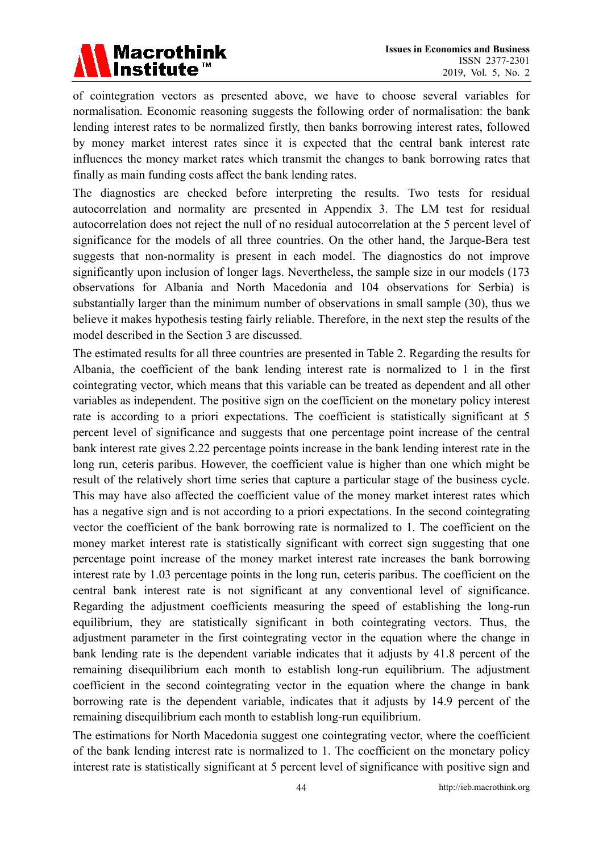

of cointegration vectors as presented above, we have to choose several variables for normalisation. Economic reasoning suggests the following order of normalisation: the bank lending interest rates to be normalized firstly, then banks borrowing interest rates, followed by money market interest rates since it is expected that the central bank interest rate influences the money market rates which transmit the changes to bank borrowing rates that finally as main funding costs affect the bank lending rates.

The diagnostics are checked before interpreting the results. Two tests for residual autocorrelation and normality are presented in Appendix 3. The LM test for residual autocorrelation does not reject the null of no residual autocorrelation at the 5 percent level of significance for the models of all three countries. On the other hand, the Jarque-Bera test suggests that non-normality is present in each model. The diagnostics do not improve significantly upon inclusion of longer lags. Nevertheless, the sample size in our models (173 observations for Albania and North Macedonia and 104 observations for Serbia) is substantially larger than the minimum number of observations in small sample (30), thus we believe it makes hypothesis testing fairly reliable. Therefore, in the next step the results of the model described in the Section 3 are discussed.

The estimated results for all three countries are presented in Table 2. Regarding the results for Albania, the coefficient of the bank lending interest rate is normalized to 1 in the first cointegrating vector, which means that this variable can be treated as dependent and all other variables as independent. The positive sign on the coefficient on the monetary policy interest rate is according to a priori expectations. The coefficient is statistically significant at 5 percent level of significance and suggests that one percentage point increase of the central bank interest rate gives 2.22 percentage points increase in the bank lending interest rate in the long run, ceteris paribus. However, the coefficient value is higher than one which might be result of the relatively short time series that capture a particular stage of the business cycle. This may have also affected the coefficient value of the money market interest rates which has a negative sign and is not according to a priori expectations. In the second cointegrating vector the coefficient of the bank borrowing rate is normalized to 1. The coefficient on the money market interest rate is statistically significant with correct sign suggesting that one percentage point increase of the money market interest rate increases the bank borrowing interest rate by 1.03 percentage points in the long run, ceteris paribus. The coefficient on the central bank interest rate is not significant at any conventional level of significance. Regarding the adjustment coefficients measuring the speed of establishing the long-run equilibrium, they are statistically significant in both cointegrating vectors. Thus, the adjustment parameter in the first cointegrating vector in the equation where the change in bank lending rate is the dependent variable indicates that it adjusts by 41.8 percent of the remaining disequilibrium each month to establish long-run equilibrium. The adjustment coefficient in the second cointegrating vector in the equation where the change in bank borrowing rate is the dependent variable, indicates that it adjusts by 14.9 percent of the remaining disequilibrium each month to establish long-run equilibrium.

The estimations for North Macedonia suggest one cointegrating vector, where the coefficient of the bank lending interest rate is normalized to 1. The coefficient on the monetary policy interest rate is statistically significant at 5 percent level of significance with positive sign and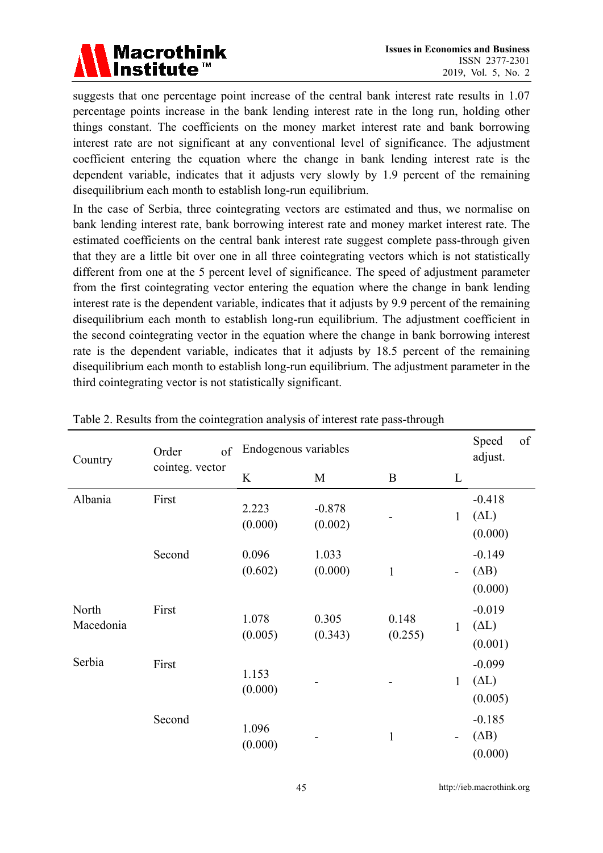

suggests that one percentage point increase of the central bank interest rate results in 1.07 percentage points increase in the bank lending interest rate in the long run, holding other things constant. The coefficients on the money market interest rate and bank borrowing interest rate are not significant at any conventional level of significance. The adjustment coefficient entering the equation where the change in bank lending interest rate is the dependent variable, indicates that it adjusts very slowly by 1.9 percent of the remaining disequilibrium each month to establish long-run equilibrium.

In the case of Serbia, three cointegrating vectors are estimated and thus, we normalise on bank lending interest rate, bank borrowing interest rate and money market interest rate. The estimated coefficients on the central bank interest rate suggest complete pass-through given that they are a little bit over one in all three cointegrating vectors which is not statistically different from one at the 5 percent level of significance. The speed of adjustment parameter from the first cointegrating vector entering the equation where the change in bank lending interest rate is the dependent variable, indicates that it adjusts by 9.9 percent of the remaining disequilibrium each month to establish long-run equilibrium. The adjustment coefficient in the second cointegrating vector in the equation where the change in bank borrowing interest rate is the dependent variable, indicates that it adjusts by 18.5 percent of the remaining disequilibrium each month to establish long-run equilibrium. The adjustment parameter in the third cointegrating vector is not statistically significant.

| Country            | of<br>Order     | Endogenous variables |                     |                  |                          | Speed<br>adjust.                    | of |
|--------------------|-----------------|----------------------|---------------------|------------------|--------------------------|-------------------------------------|----|
|                    | cointeg. vector | K                    | M                   | B                | L                        |                                     |    |
| Albania            | First           | 2.223<br>(0.000)     | $-0.878$<br>(0.002) |                  | $\mathbf{1}$             | $-0.418$<br>$(\Delta L)$<br>(0.000) |    |
|                    | Second          | 0.096<br>(0.602)     | 1.033<br>(0.000)    | $\mathbf{1}$     | $\blacksquare$           | $-0.149$<br>(AB)<br>(0.000)         |    |
| North<br>Macedonia | First           | 1.078<br>(0.005)     | 0.305<br>(0.343)    | 0.148<br>(0.255) | $\mathbf{1}$             | $-0.019$<br>$(\Delta L)$<br>(0.001) |    |
| Serbia             | First           | 1.153<br>(0.000)     |                     |                  | $\mathbf{1}$             | $-0.099$<br>$(\Delta L)$<br>(0.005) |    |
|                    | Second          | 1.096<br>(0.000)     |                     | $\mathbf{1}$     | $\overline{\phantom{a}}$ | $-0.185$<br>(AB)<br>(0.000)         |    |

Table 2. Results from the cointegration analysis of interest rate pass-through

45 http://ieb.macrothink.org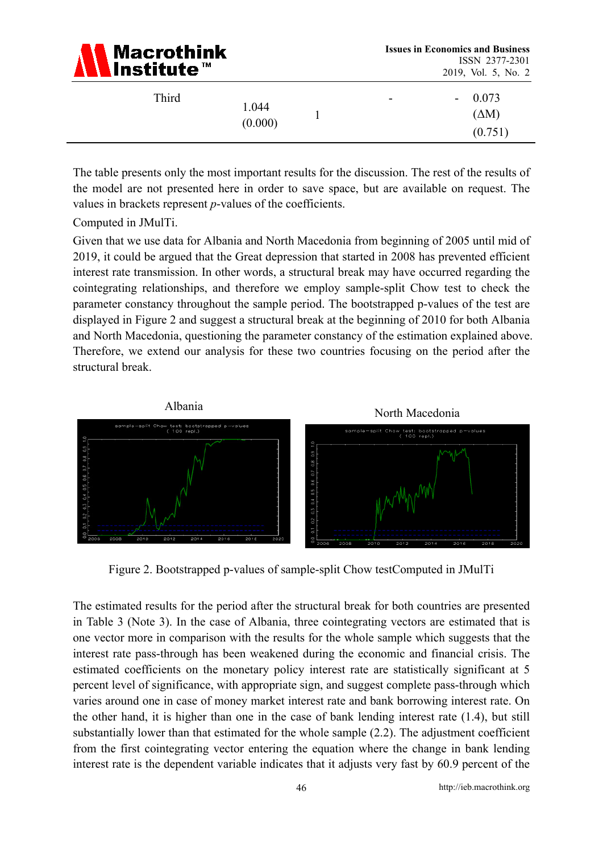| <b>A</b> Macrothink |
|---------------------|
|---------------------|

| Third | 1.044<br>(0.000) |  | $\overline{\phantom{a}}$ | 0.073<br>$\sim$<br>$(\Delta M)$<br>(0.751) |
|-------|------------------|--|--------------------------|--------------------------------------------|
|-------|------------------|--|--------------------------|--------------------------------------------|

The table presents only the most important results for the discussion. The rest of the results of the model are not presented here in order to save space, but are available on request. The values in brackets represent *p*-values of the coefficients.

Computed in JMulTi.

Given that we use data for Albania and North Macedonia from beginning of 2005 until mid of 2019, it could be argued that the Great depression that started in 2008 has prevented efficient interest rate transmission. In other words, a structural break may have occurred regarding the cointegrating relationships, and therefore we employ sample-split Chow test to check the parameter constancy throughout the sample period. The bootstrapped p-values of the test are displayed in Figure 2 and suggest a structural break at the beginning of 2010 for both Albania and North Macedonia, questioning the parameter constancy of the estimation explained above. Therefore, we extend our analysis for these two countries focusing on the period after the structural break.



Figure 2. Bootstrapped p-values of sample-split Chow testComputed in JMulTi

The estimated results for the period after the structural break for both countries are presented in Table 3 (Note 3). In the case of Albania, three cointegrating vectors are estimated that is one vector more in comparison with the results for the whole sample which suggests that the interest rate pass-through has been weakened during the economic and financial crisis. The estimated coefficients on the monetary policy interest rate are statistically significant at 5 percent level of significance, with appropriate sign, and suggest complete pass-through which varies around one in case of money market interest rate and bank borrowing interest rate. On the other hand, it is higher than one in the case of bank lending interest rate (1.4), but still substantially lower than that estimated for the whole sample (2.2). The adjustment coefficient from the first cointegrating vector entering the equation where the change in bank lending interest rate is the dependent variable indicates that it adjusts very fast by 60.9 percent of the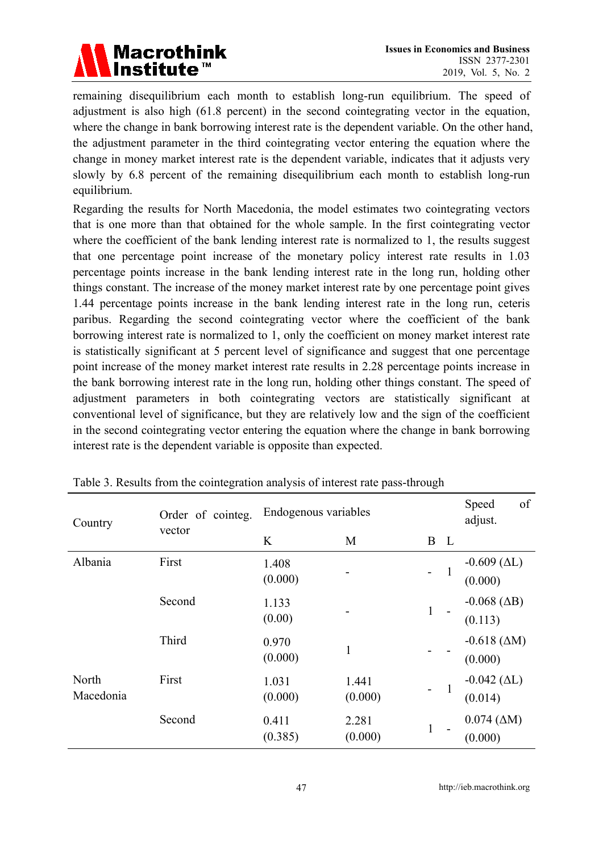

remaining disequilibrium each month to establish long-run equilibrium. The speed of adjustment is also high (61.8 percent) in the second cointegrating vector in the equation, where the change in bank borrowing interest rate is the dependent variable. On the other hand, the adjustment parameter in the third cointegrating vector entering the equation where the change in money market interest rate is the dependent variable, indicates that it adjusts very slowly by 6.8 percent of the remaining disequilibrium each month to establish long-run equilibrium.

Regarding the results for North Macedonia, the model estimates two cointegrating vectors that is one more than that obtained for the whole sample. In the first cointegrating vector where the coefficient of the bank lending interest rate is normalized to 1, the results suggest that one percentage point increase of the monetary policy interest rate results in 1.03 percentage points increase in the bank lending interest rate in the long run, holding other things constant. The increase of the money market interest rate by one percentage point gives 1.44 percentage points increase in the bank lending interest rate in the long run, ceteris paribus. Regarding the second cointegrating vector where the coefficient of the bank borrowing interest rate is normalized to 1, only the coefficient on money market interest rate is statistically significant at 5 percent level of significance and suggest that one percentage point increase of the money market interest rate results in 2.28 percentage points increase in the bank borrowing interest rate in the long run, holding other things constant. The speed of adjustment parameters in both cointegrating vectors are statistically significant at conventional level of significance, but they are relatively low and the sign of the coefficient in the second cointegrating vector entering the equation where the change in bank borrowing interest rate is the dependent variable is opposite than expected.

| Country            | Order of cointeg. | Endogenous variables |                  |                |              | of<br>Speed<br>adjust.             |
|--------------------|-------------------|----------------------|------------------|----------------|--------------|------------------------------------|
|                    | vector            | K                    | M                | B              | $\mathbf{L}$ |                                    |
| Albania            | First             | 1.408<br>(0.000)     |                  | $\overline{a}$ | $\mathbf{1}$ | $-0.609$ ( $\Delta L$ )<br>(0.000) |
|                    | Second            | 1.133<br>(0.00)      |                  | $\mathbf{1}$   |              | $-0.068$ ( $\Delta B$ )<br>(0.113) |
|                    | Third             | 0.970<br>(0.000)     | 1                |                |              | $-0.618$ ( $\Delta M$ )<br>(0.000) |
| North<br>Macedonia | First             | 1.031<br>(0.000)     | 1.441<br>(0.000) |                | $\mathbf{1}$ | $-0.042$ ( $\Delta L$ )<br>(0.014) |
|                    | Second            | 0.411<br>(0.385)     | 2.281<br>(0.000) | $\mathbf{1}$   |              | $0.074~(\Delta M)$<br>(0.000)      |

Table 3. Results from the cointegration analysis of interest rate pass-through

47 http://ieb.macrothink.org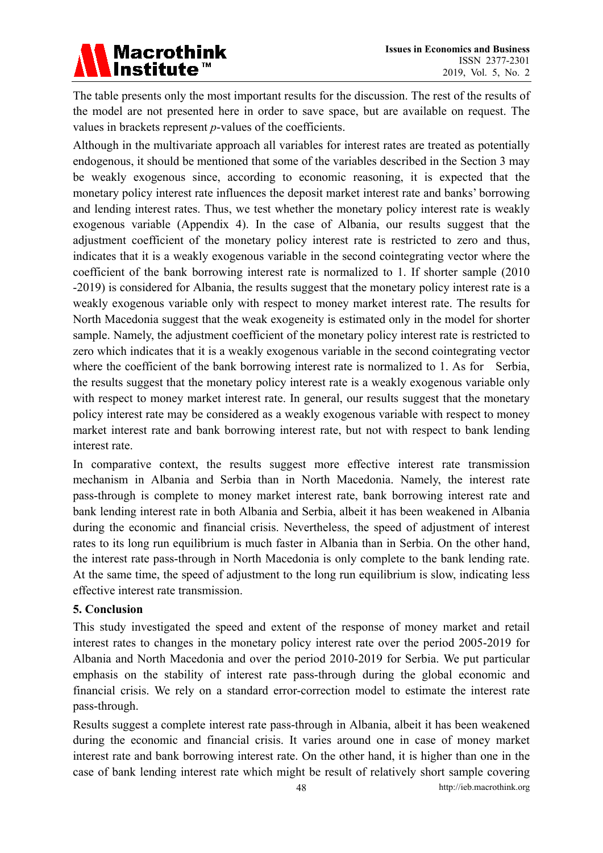

The table presents only the most important results for the discussion. The rest of the results of the model are not presented here in order to save space, but are available on request. The values in brackets represent *p*-values of the coefficients.

Although in the multivariate approach all variables for interest rates are treated as potentially endogenous, it should be mentioned that some of the variables described in the Section 3 may be weakly exogenous since, according to economic reasoning, it is expected that the monetary policy interest rate influences the deposit market interest rate and banks' borrowing and lending interest rates. Thus, we test whether the monetary policy interest rate is weakly exogenous variable (Appendix 4). In the case of Albania, our results suggest that the adjustment coefficient of the monetary policy interest rate is restricted to zero and thus, indicates that it is a weakly exogenous variable in the second cointegrating vector where the coefficient of the bank borrowing interest rate is normalized to 1. If shorter sample (2010 -2019) is considered for Albania, the results suggest that the monetary policy interest rate is a weakly exogenous variable only with respect to money market interest rate. The results for North Macedonia suggest that the weak exogeneity is estimated only in the model for shorter sample. Namely, the adjustment coefficient of the monetary policy interest rate is restricted to zero which indicates that it is a weakly exogenous variable in the second cointegrating vector where the coefficient of the bank borrowing interest rate is normalized to 1. As for Serbia, the results suggest that the monetary policy interest rate is a weakly exogenous variable only with respect to money market interest rate. In general, our results suggest that the monetary policy interest rate may be considered as a weakly exogenous variable with respect to money market interest rate and bank borrowing interest rate, but not with respect to bank lending interest rate.

In comparative context, the results suggest more effective interest rate transmission mechanism in Albania and Serbia than in North Macedonia. Namely, the interest rate pass-through is complete to money market interest rate, bank borrowing interest rate and bank lending interest rate in both Albania and Serbia, albeit it has been weakened in Albania during the economic and financial crisis. Nevertheless, the speed of adjustment of interest rates to its long run equilibrium is much faster in Albania than in Serbia. On the other hand, the interest rate pass-through in North Macedonia is only complete to the bank lending rate. At the same time, the speed of adjustment to the long run equilibrium is slow, indicating less effective interest rate transmission.

### **5. Conclusion**

This study investigated the speed and extent of the response of money market and retail interest rates to changes in the monetary policy interest rate over the period 2005-2019 for Albania and North Macedonia and over the period 2010-2019 for Serbia. We put particular emphasis on the stability of interest rate pass-through during the global economic and financial crisis. We rely on a standard error-correction model to estimate the interest rate pass-through.

Results suggest a complete interest rate pass-through in Albania, albeit it has been weakened during the economic and financial crisis. It varies around one in case of money market interest rate and bank borrowing interest rate. On the other hand, it is higher than one in the case of bank lending interest rate which might be result of relatively short sample covering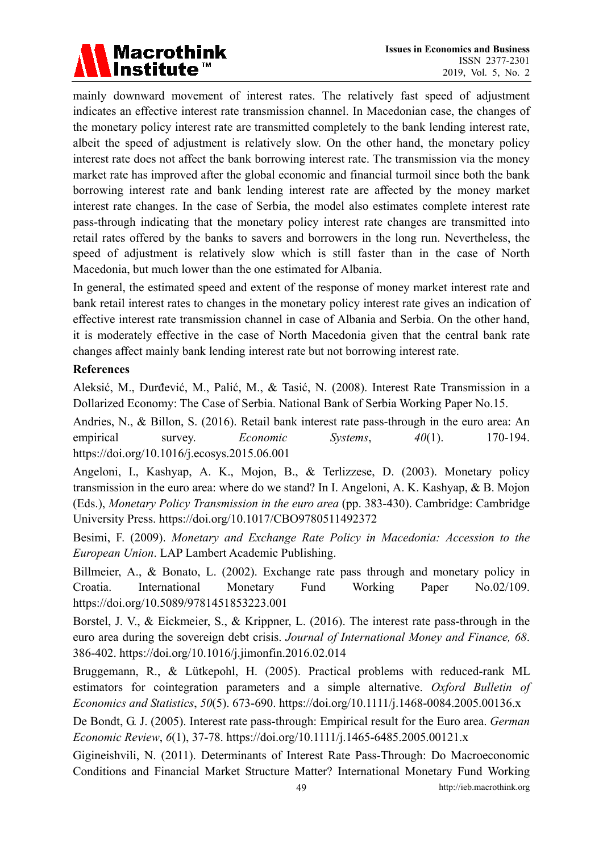

mainly downward movement of interest rates. The relatively fast speed of adjustment indicates an effective interest rate transmission channel. In Macedonian case, the changes of the monetary policy interest rate are transmitted completely to the bank lending interest rate, albeit the speed of adjustment is relatively slow. On the other hand, the monetary policy interest rate does not affect the bank borrowing interest rate. The transmission via the money market rate has improved after the global economic and financial turmoil since both the bank borrowing interest rate and bank lending interest rate are affected by the money market interest rate changes. In the case of Serbia, the model also estimates complete interest rate pass-through indicating that the monetary policy interest rate changes are transmitted into retail rates offered by the banks to savers and borrowers in the long run. Nevertheless, the speed of adjustment is relatively slow which is still faster than in the case of North Macedonia, but much lower than the one estimated for Albania.

In general, the estimated speed and extent of the response of money market interest rate and bank retail interest rates to changes in the monetary policy interest rate gives an indication of effective interest rate transmission channel in case of Albania and Serbia. On the other hand, it is moderately effective in the case of North Macedonia given that the central bank rate changes affect mainly bank lending interest rate but not borrowing interest rate.

#### **References**

Aleksić, M., Đurđević, M., Palić, M., & Tasić, N. (2008). Interest Rate Transmission in a Dollarized Economy: The Case of Serbia. National Bank of Serbia Working Paper No.15.

Andries, N., & Billon, S. (2016). Retail bank interest rate pass-through in the euro area: An empirical survey. *Economic Systems*, *40*(1). 170-194. https://doi.org/10.1016/j.ecosys.2015.06.001

Angeloni, I., Kashyap, A. K., Mojon, B., & Terlizzese, D. (2003). Monetary policy transmission in the euro area: where do we stand? In I. Angeloni, A. K. Kashyap, & B. Mojon (Eds.), *Monetary Policy Transmission in the euro area* (pp. 383-430). Cambridge: Cambridge University Press. https://doi.org/10.1017/CBO9780511492372

Besimi, F. (2009). *Monetary and Exchange Rate Policy in Macedonia: Accession to the European Union*. LAP Lambert Academic Publishing.

Billmeier, A., & Bonato, L. (2002). Exchange rate pass through and monetary policy in Croatia. International Monetary Fund Working Paper No.02/109. https://doi.org/10.5089/9781451853223.001

Borstel, J. V., & Eickmeier, S., & Krippner, L. (2016). The interest rate pass-through in the euro area during the sovereign debt crisis. *Journal of International Money and Finance, 68*. 386-402. https://doi.org/10.1016/j.jimonfin.2016.02.014

Bruggemann, R., & Lütkepohl, H. (2005). Practical problems with reduced-rank ML estimators for cointegration parameters and a simple alternative. *Oxford Bulletin of Economics and Statistics*, *50*(5). 673-690. https://doi.org/10.1111/j.1468-0084.2005.00136.x

De Bondt, G. J. (2005). Interest rate pass-through: Empirical result for the Euro area. *German Economic Review*, *6*(1), 37-78. https://doi.org/10.1111/j.1465-6485.2005.00121.x

Gigineishvili, N. (2011). Determinants of Interest Rate Pass-Through: Do Macroeconomic Conditions and Financial Market Structure Matter? International Monetary Fund Working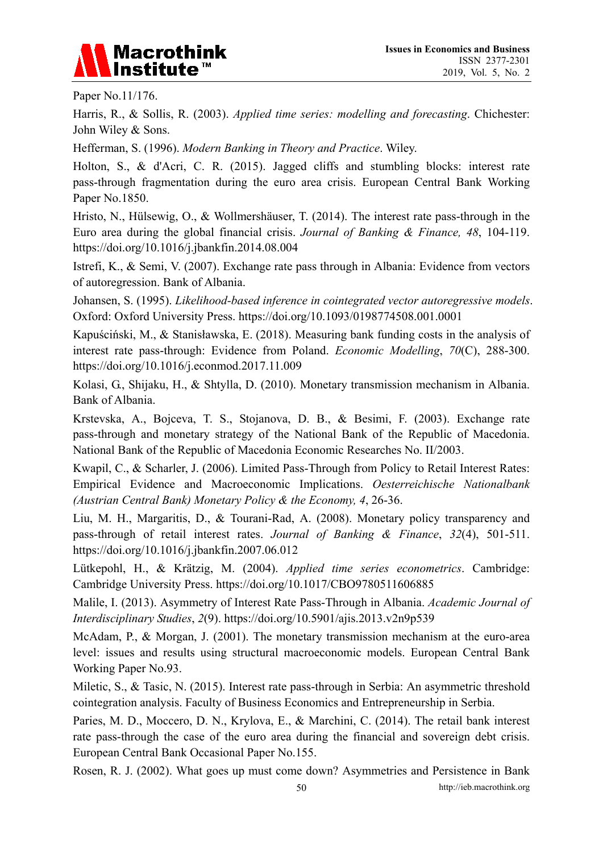

Paper No.11/176.

Harris, R., & Sollis, R. (2003). *Applied time series: modelling and forecasting*. Chichester: John Wiley & Sons.

Hefferman, S. (1996). *Modern Banking in Theory and Practice*. Wiley.

Holton, S., & d'Acri, C. R. (2015). Jagged cliffs and stumbling blocks: interest rate pass-through fragmentation during the euro area crisis. European Central Bank Working Paper No.1850.

Hristo, N., Hülsewig, O., & Wollmershäuser, T. (2014). The interest rate pass-through in the Euro area during the global financial crisis. *Journal of Banking & Finance, 48*, 104-119. https://doi.org/10.1016/j.jbankfin.2014.08.004

Istrefi, K., & Semi, V. (2007). Exchange rate pass through in Albania: Evidence from vectors of autoregression. Bank of Albania.

Johansen, S. (1995). *Likelihood-based inference in cointegrated vector autoregressive models*. Oxford: Oxford University Press. https://doi.org/10.1093/0198774508.001.0001

Kapuściński, M., & Stanisławska, E. (2018). Measuring bank funding costs in the analysis of interest rate pass-through: Evidence from Poland. *Economic Modelling*, *70*(C), 288-300. https://doi.org/10.1016/j.econmod.2017.11.009

Kolasi, G., Shijaku, H., & Shtylla, D. (2010). Monetary transmission mechanism in Albania. Bank of Albania.

Krstevska, A., Bojceva, T. S., Stojanova, D. B., & Besimi, F. (2003). Exchange rate pass-through and monetary strategy of the National Bank of the Republic of Macedonia. National Bank of the Republic of Macedonia Economic Researches No. II/2003.

Kwapil, C., & Scharler, J. (2006). Limited Pass-Through from Policy to Retail Interest Rates: Empirical Evidence and Macroeconomic Implications. *Oesterreichische Nationalbank (Austrian Central Bank) Monetary Policy & the Economy, 4*, 26-36.

Liu, M. H., Margaritis, D., & Tourani-Rad, A. (2008). Monetary policy transparency and pass-through of retail interest rates. *Journal of Banking & Finance*, *32*(4), 501-511. https://doi.org/10.1016/j.jbankfin.2007.06.012

Lütkepohl, H., & Krätzig, M. (2004). *Applied time series econometrics*. Cambridge: Cambridge University Press. https://doi.org/10.1017/CBO9780511606885

Malile, I. (2013). Asymmetry of Interest Rate Pass-Through in Albania. *Academic Journal of Interdisciplinary Studies*, *2*(9). https://doi.org/10.5901/ajis.2013.v2n9p539

McAdam, P., & Morgan, J. (2001). The monetary transmission mechanism at the euro-area level: issues and results using structural macroeconomic models. European Central Bank Working Paper No.93.

Miletic, S., & Tasic, N. (2015). Interest rate pass-through in Serbia: An asymmetric threshold cointegration analysis. Faculty of Business Economics and Entrepreneurship in Serbia.

Paries, M. D., Moccero, D. N., Krylova, E., & Marchini, C. (2014). The retail bank interest rate pass-through the case of the euro area during the financial and sovereign debt crisis. European Central Bank Occasional Paper No.155.

Rosen, R. J. (2002). What goes up must come down? Asymmetries and Persistence in Bank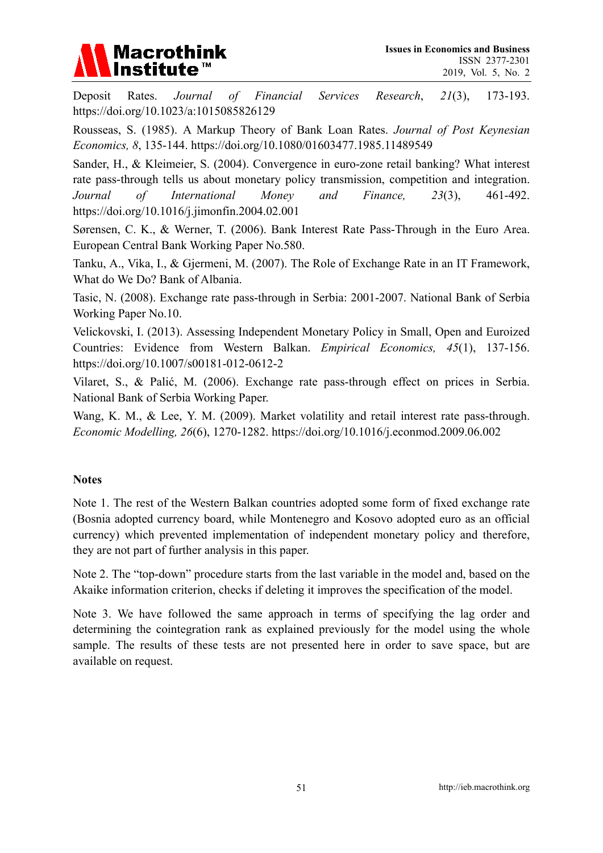

Deposit Rates. *Journal of Financial Services Research*, *21*(3), 173-193. https://doi.org/10.1023/a:1015085826129

Rousseas, S. (1985). A Markup Theory of Bank Loan Rates. *Journal of Post Keynesian Economics, 8*, 135-144. https://doi.org/10.1080/01603477.1985.11489549

Sander, H., & Kleimeier, S. (2004). Convergence in euro-zone retail banking? What interest rate pass-through tells us about monetary policy transmission, competition and integration. *Journal of International Money and Finance, 23*(3), 461-492. https://doi.org/10.1016/j.jimonfin.2004.02.001

Sørensen, C. K., & Werner, T. (2006). Bank Interest Rate Pass-Through in the Euro Area. European Central Bank Working Paper No.580.

Tanku, A., Vika, I., & Gjermeni, M. (2007). The Role of Exchange Rate in an IT Framework, What do We Do? Bank of Albania.

Tasic, N. (2008). Exchange rate pass-through in Serbia: 2001-2007. National Bank of Serbia Working Paper No.10.

Velickovski, I. (2013). Assessing Independent Monetary Policy in Small, Open and Euroized Countries: Evidence from Western Balkan. *Empirical Economics, 45*(1), 137-156. https://doi.org/10.1007/s00181-012-0612-2

Vilaret, S., & Palić, M. (2006). Exchange rate pass-through effect on prices in Serbia. National Bank of Serbia Working Paper.

Wang, K. M., & Lee, Y. M. (2009). Market volatility and retail interest rate pass-through. *Economic Modelling, 26*(6), 1270-1282. https://doi.org/10.1016/j.econmod.2009.06.002

### **Notes**

Note 1. The rest of the Western Balkan countries adopted some form of fixed exchange rate (Bosnia adopted currency board, while Montenegro and Kosovo adopted euro as an official currency) which prevented implementation of independent monetary policy and therefore, they are not part of further analysis in this paper.

Note 2. The "top-down" procedure starts from the last variable in the model and, based on the Akaike information criterion, checks if deleting it improves the specification of the model.

Note 3. We have followed the same approach in terms of specifying the lag order and determining the cointegration rank as explained previously for the model using the whole sample. The results of these tests are not presented here in order to save space, but are available on request.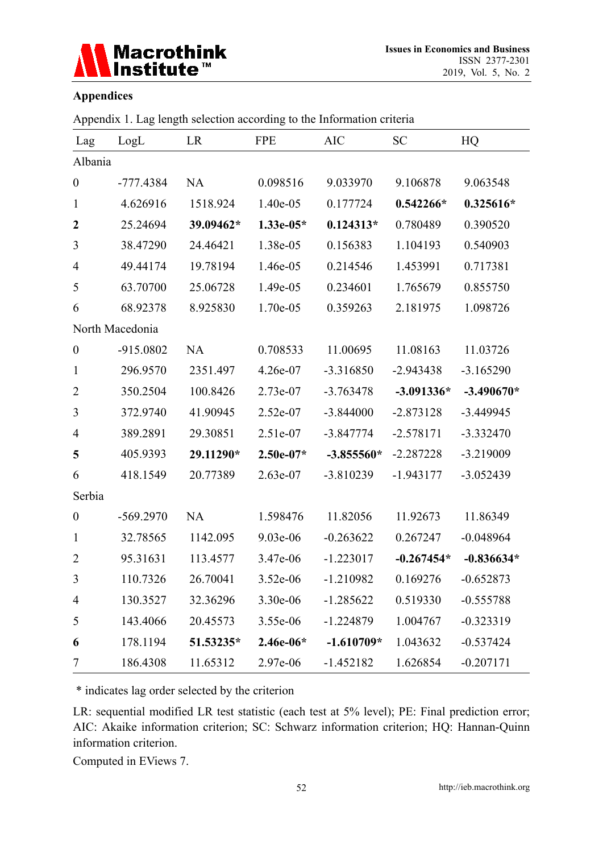

### **Appendices**

|  | Appendix 1. Lag length selection according to the Information criteria |
|--|------------------------------------------------------------------------|

| Lag              | LogL            | LR        | <b>FPE</b>  | <b>AIC</b>   | <b>SC</b>    | HQ           |
|------------------|-----------------|-----------|-------------|--------------|--------------|--------------|
| Albania          |                 |           |             |              |              |              |
| $\boldsymbol{0}$ | $-777.4384$     | <b>NA</b> | 0.098516    | 9.033970     | 9.106878     | 9.063548     |
| $\mathbf{1}$     | 4.626916        | 1518.924  | 1.40e-05    | 0.177724     | $0.542266*$  | $0.325616*$  |
| $\boldsymbol{2}$ | 25.24694        | 39.09462* | $1.33e-05*$ | $0.124313*$  | 0.780489     | 0.390520     |
| 3                | 38.47290        | 24.46421  | 1.38e-05    | 0.156383     | 1.104193     | 0.540903     |
| $\overline{4}$   | 49.44174        | 19.78194  | 1.46e-05    | 0.214546     | 1.453991     | 0.717381     |
| 5                | 63.70700        | 25.06728  | 1.49e-05    | 0.234601     | 1.765679     | 0.855750     |
| 6                | 68.92378        | 8.925830  | 1.70e-05    | 0.359263     | 2.181975     | 1.098726     |
|                  | North Macedonia |           |             |              |              |              |
| $\boldsymbol{0}$ | -915.0802       | <b>NA</b> | 0.708533    | 11.00695     | 11.08163     | 11.03726     |
| $\mathbf{1}$     | 296.9570        | 2351.497  | 4.26e-07    | $-3.316850$  | $-2.943438$  | $-3.165290$  |
| $\overline{2}$   | 350.2504        | 100.8426  | 2.73e-07    | $-3.763478$  | $-3.091336*$ | $-3.490670*$ |
| 3                | 372.9740        | 41.90945  | 2.52e-07    | $-3.844000$  | $-2.873128$  | $-3.449945$  |
| $\overline{4}$   | 389.2891        | 29.30851  | 2.51e-07    | $-3.847774$  | $-2.578171$  | $-3.332470$  |
| 5                | 405.9393        | 29.11290* | $2.50e-07*$ | $-3.855560*$ | $-2.287228$  | $-3.219009$  |
| 6                | 418.1549        | 20.77389  | 2.63e-07    | $-3.810239$  | $-1.943177$  | $-3.052439$  |
| Serbia           |                 |           |             |              |              |              |
| $\boldsymbol{0}$ | $-569.2970$     | <b>NA</b> | 1.598476    | 11.82056     | 11.92673     | 11.86349     |
| $\mathbf{1}$     | 32.78565        | 1142.095  | 9.03e-06    | $-0.263622$  | 0.267247     | $-0.048964$  |
| $\overline{2}$   | 95.31631        | 113.4577  | 3.47e-06    | $-1.223017$  | $-0.267454*$ | $-0.836634*$ |
| 3                | 110.7326        | 26.70041  | 3.52e-06    | $-1.210982$  | 0.169276     | $-0.652873$  |
| 4                | 130.3527        | 32.36296  | 3.30e-06    | $-1.285622$  | 0.519330     | $-0.555788$  |
| 5                | 143.4066        | 20.45573  | 3.55e-06    | $-1.224879$  | 1.004767     | $-0.323319$  |
| 6                | 178.1194        | 51.53235* | 2.46e-06*   | $-1.610709*$ | 1.043632     | $-0.537424$  |
| 7                | 186.4308        | 11.65312  | 2.97e-06    | $-1.452182$  | 1.626854     | $-0.207171$  |

\* indicates lag order selected by the criterion

LR: sequential modified LR test statistic (each test at 5% level); PE: Final prediction error; AIC: Akaike information criterion; SC: Schwarz information criterion; HQ: Hannan-Quinn information criterion.

Computed in EViews 7.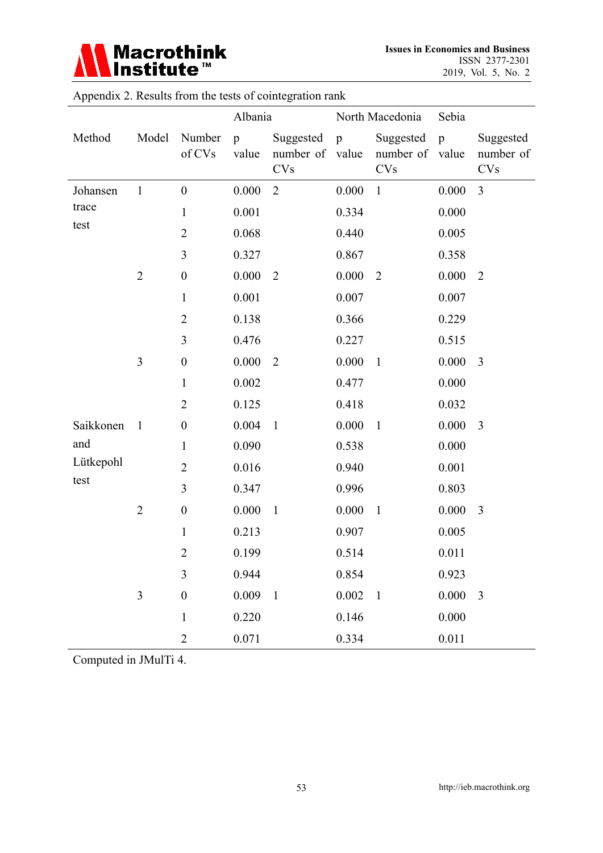

**Issues in Economics and Business**  ISSN 2377-2301 2019, Vol. 5, No. 2

|           |                |                  | Albania               |                                            |              | North Macedonia                            | Sebia        |                                      |
|-----------|----------------|------------------|-----------------------|--------------------------------------------|--------------|--------------------------------------------|--------------|--------------------------------------|
| Method    | Model          | Number<br>of CVs | $\mathbf{p}$<br>value | Suggested<br>number of value<br><b>CVs</b> | $\mathbf{p}$ | Suggested<br>number of value<br><b>CVs</b> | $\mathbf{p}$ | Suggested<br>number of<br><b>CVs</b> |
| Johansen  | $\mathbf{1}$   | $\boldsymbol{0}$ | 0.000                 | $\overline{2}$                             | 0.000        | $\mathbf{1}$                               | 0.000        | 3                                    |
| trace     |                | $\mathbf{1}$     | 0.001                 |                                            | 0.334        |                                            | 0.000        |                                      |
| test      |                | $\overline{2}$   | 0.068                 |                                            | 0.440        |                                            | 0.005        |                                      |
|           |                | 3                | 0.327                 |                                            | 0.867        |                                            | 0.358        |                                      |
|           | $\overline{2}$ | $\boldsymbol{0}$ | 0.000                 | $\overline{2}$                             | 0.000        | $\overline{2}$                             | 0.000        | $\overline{2}$                       |
|           |                | $\mathbf{1}$     | 0.001                 |                                            | 0.007        |                                            | 0.007        |                                      |
|           |                | $\overline{2}$   | 0.138                 |                                            | 0.366        |                                            | 0.229        |                                      |
|           |                | $\mathfrak{Z}$   | 0.476                 |                                            | 0.227        |                                            | 0.515        |                                      |
|           | $\overline{3}$ | $\boldsymbol{0}$ | 0.000                 | $\overline{2}$                             | 0.000        | $\mathbf{1}$                               | 0.000        | $\overline{3}$                       |
|           |                | $\mathbf{1}$     | 0.002                 |                                            | 0.477        |                                            | 0.000        |                                      |
|           |                | $\overline{2}$   | 0.125                 |                                            | 0.418        |                                            | 0.032        |                                      |
| Saikkonen | $\mathbf{1}$   | $\boldsymbol{0}$ | 0.004                 | $\mathbf{1}$                               | 0.000        | $\mathbf{1}$                               | 0.000        | 3                                    |
| and       |                | $\mathbf{1}$     | 0.090                 |                                            | 0.538        |                                            | 0.000        |                                      |
| Lütkepohl |                | $\overline{2}$   | 0.016                 |                                            | 0.940        |                                            | 0.001        |                                      |
| test      |                | $\overline{3}$   | 0.347                 |                                            | 0.996        |                                            | 0.803        |                                      |
|           | $\overline{2}$ | $\boldsymbol{0}$ | 0.000                 | $\mathbf{1}$                               | 0.000        | $\mathbf{1}$                               | 0.000        | 3                                    |
|           |                | $\mathbf{1}$     | 0.213                 |                                            | 0.907        |                                            | 0.005        |                                      |
|           |                | $\overline{2}$   | 0.199                 |                                            | 0.514        |                                            | 0.011        |                                      |
|           |                | $\mathfrak{Z}$   | 0.944                 |                                            | 0.854        |                                            | 0.923        |                                      |
|           | $\overline{3}$ | $\boldsymbol{0}$ | 0.009                 | $\mathbf{1}$                               | 0.002        | $\mathbf{1}$                               | 0.000        | 3                                    |
|           |                | $\mathbf 1$      | 0.220                 |                                            | 0.146        |                                            | 0.000        |                                      |
|           |                | $\overline{2}$   | 0.071                 |                                            | 0.334        |                                            | 0.011        |                                      |

Appendix 2. Results from the tests of cointegration rank

Computed in JMulTi 4.